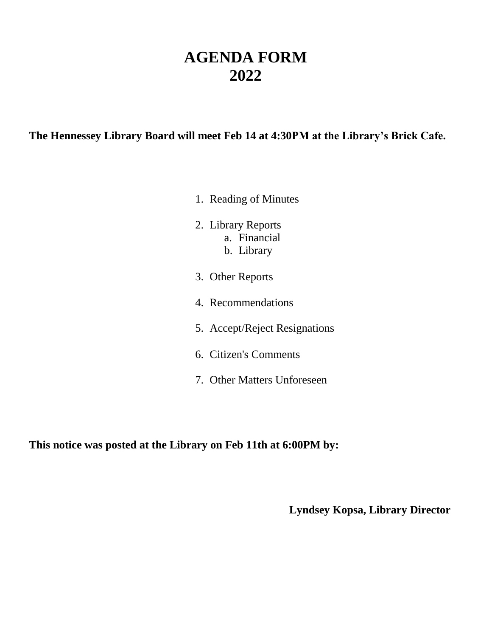# **AGENDA FORM 2022**

### **The Hennessey Library Board will meet Feb 14 at 4:30PM at the Library's Brick Cafe.**

- 1. Reading of Minutes
- 2. Library Reports a. Financial b. Library
- 3. Other Reports
- 4. Recommendations
- 5. Accept/Reject Resignations
- 6. Citizen's Comments
- 7. Other Matters Unforeseen

**This notice was posted at the Library on Feb 11th at 6:00PM by:**

**Lyndsey Kopsa, Library Director**